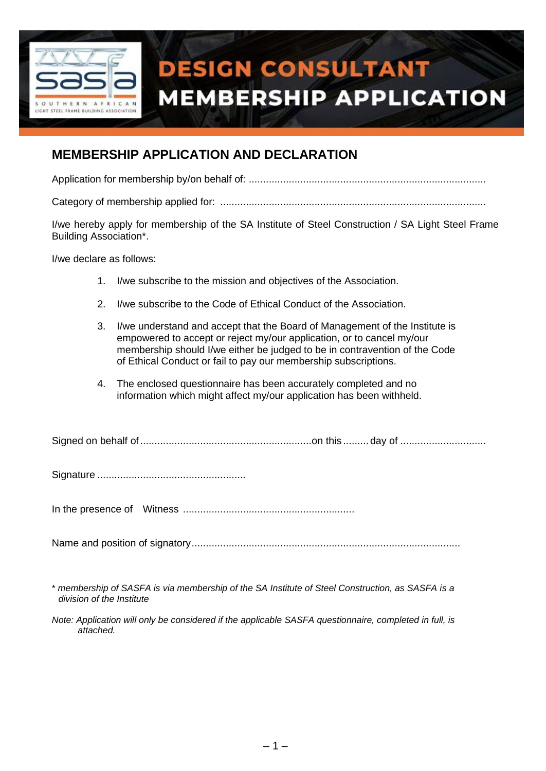

# **DESIGN CONSULTANT MEMBERSHIP APPLICATION**

#### **MEMBERSHIP APPLICATION AND DECLARATION**

Application for membership by/on behalf of: ...................................................................................

Category of membership applied for: .............................................................................................

I/we hereby apply for membership of the SA Institute of Steel Construction / SA Light Steel Frame Building Association\*.

I/we declare as follows:

- 1. I/we subscribe to the mission and objectives of the Association.
- 2. I/we subscribe to the Code of Ethical Conduct of the Association.
- 3. I/we understand and accept that the Board of Management of the Institute is empowered to accept or reject my/our application, or to cancel my/our membership should I/we either be judged to be in contravention of the Code of Ethical Conduct or fail to pay our membership subscriptions.
- 4. The enclosed questionnaire has been accurately completed and no information which might affect my/our application has been withheld.

Signed on behalf of............................................................on this .........day of ..............................

Signature ....................................................

In the presence of Witness ............................................................

Name and position of signatory..............................................................................................

\* *membership of SASFA is via membership of the SA Institute of Steel Construction, as SASFA is a division of the Institute*

*Note: Application will only be considered if the applicable SASFA questionnaire, completed in full, is attached.*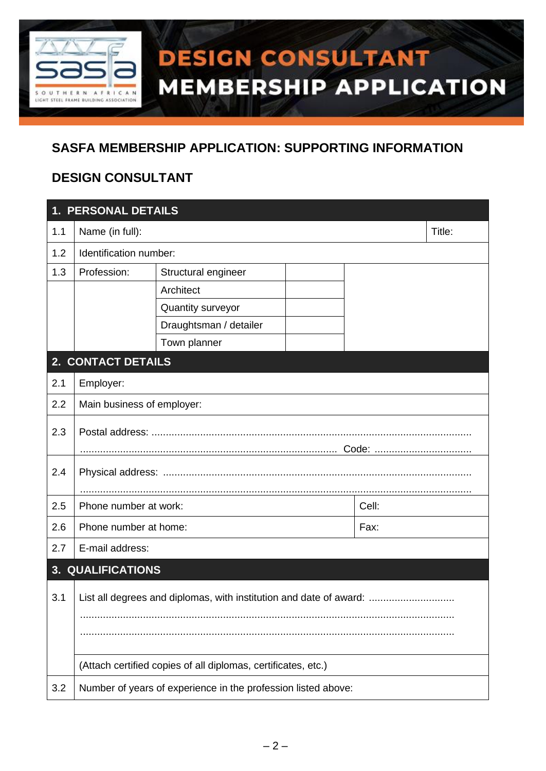

# **DESIGN CONSULTANT MEMBERSHIP APPLICATION**

### **SASFA MEMBERSHIP APPLICATION: SUPPORTING INFORMATION**

#### **DESIGN CONSULTANT**

| 1. PERSONAL DETAILS |                                                                    |                        |  |      |  |  |  |  |
|---------------------|--------------------------------------------------------------------|------------------------|--|------|--|--|--|--|
| 1.1                 | Name (in full):                                                    | Title:                 |  |      |  |  |  |  |
| 1.2                 | Identification number:                                             |                        |  |      |  |  |  |  |
| 1.3                 | Profession:<br>Structural engineer                                 |                        |  |      |  |  |  |  |
|                     |                                                                    | Architect              |  |      |  |  |  |  |
|                     |                                                                    | Quantity surveyor      |  |      |  |  |  |  |
|                     |                                                                    | Draughtsman / detailer |  |      |  |  |  |  |
|                     |                                                                    | Town planner           |  |      |  |  |  |  |
|                     | 2. CONTACT DETAILS                                                 |                        |  |      |  |  |  |  |
| 2.1                 | Employer:                                                          |                        |  |      |  |  |  |  |
| 2.2                 | Main business of employer:                                         |                        |  |      |  |  |  |  |
| 2.3                 |                                                                    |                        |  |      |  |  |  |  |
| 2.4                 |                                                                    |                        |  |      |  |  |  |  |
| 2.5                 | Phone number at work:<br>Cell:                                     |                        |  |      |  |  |  |  |
| 2.6                 | Phone number at home:                                              |                        |  | Fax: |  |  |  |  |
| 2.7                 | E-mail address:                                                    |                        |  |      |  |  |  |  |
|                     | 3. QUALIFICATIONS                                                  |                        |  |      |  |  |  |  |
| 3.1                 | List all degrees and diplomas, with institution and date of award: |                        |  |      |  |  |  |  |
|                     | (Attach certified copies of all diplomas, certificates, etc.)      |                        |  |      |  |  |  |  |
| 3.2                 | Number of years of experience in the profession listed above:      |                        |  |      |  |  |  |  |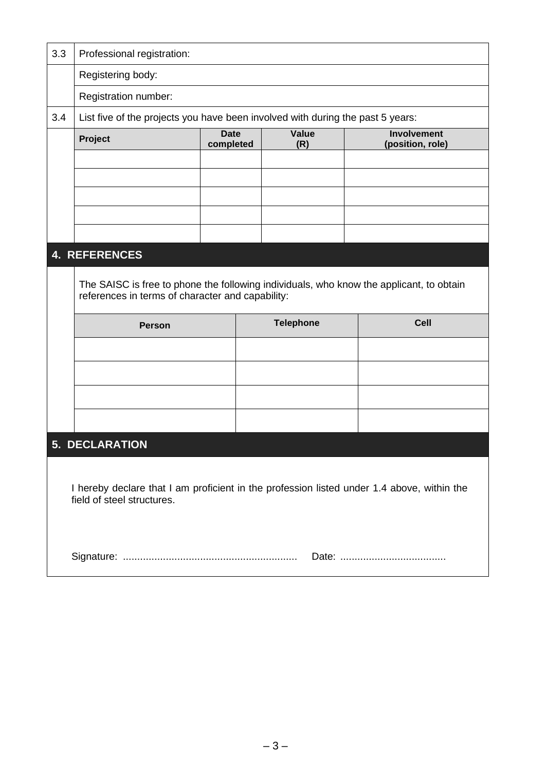| 3.3 | Professional registration:                                                                                                                  |                          |              |                  |                                        |  |  |  |  |
|-----|---------------------------------------------------------------------------------------------------------------------------------------------|--------------------------|--------------|------------------|----------------------------------------|--|--|--|--|
|     | Registering body:                                                                                                                           |                          |              |                  |                                        |  |  |  |  |
|     | Registration number:                                                                                                                        |                          |              |                  |                                        |  |  |  |  |
| 3.4 | List five of the projects you have been involved with during the past 5 years:                                                              |                          |              |                  |                                        |  |  |  |  |
|     | Project                                                                                                                                     | <b>Date</b><br>completed | Value<br>(R) |                  | <b>Involvement</b><br>(position, role) |  |  |  |  |
|     |                                                                                                                                             |                          |              |                  |                                        |  |  |  |  |
|     |                                                                                                                                             |                          |              |                  |                                        |  |  |  |  |
|     |                                                                                                                                             |                          |              |                  |                                        |  |  |  |  |
|     |                                                                                                                                             |                          |              |                  |                                        |  |  |  |  |
|     | <b>4. REFERENCES</b>                                                                                                                        |                          |              |                  |                                        |  |  |  |  |
|     | The SAISC is free to phone the following individuals, who know the applicant, to obtain<br>references in terms of character and capability: |                          |              |                  |                                        |  |  |  |  |
|     |                                                                                                                                             |                          |              |                  |                                        |  |  |  |  |
|     | <b>Person</b>                                                                                                                               |                          |              | <b>Telephone</b> | <b>Cell</b>                            |  |  |  |  |
|     |                                                                                                                                             |                          |              |                  |                                        |  |  |  |  |
|     |                                                                                                                                             |                          |              |                  |                                        |  |  |  |  |
|     |                                                                                                                                             |                          |              |                  |                                        |  |  |  |  |
|     |                                                                                                                                             |                          |              |                  |                                        |  |  |  |  |
|     | <b>5. DECLARATION</b>                                                                                                                       |                          |              |                  |                                        |  |  |  |  |
|     |                                                                                                                                             |                          |              |                  |                                        |  |  |  |  |
|     | I hereby declare that I am proficient in the profession listed under 1.4 above, within the<br>field of steel structures.                    |                          |              |                  |                                        |  |  |  |  |